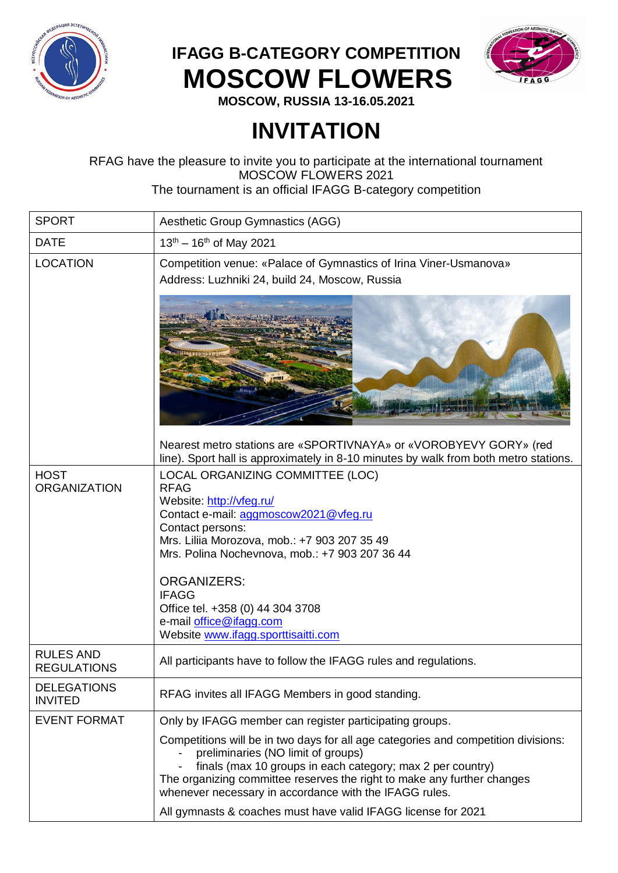

## **IFAGG B-CATEGORY COMPETITION MOSCOW FLOWERS**



**MOSCOW, RUSSIA 13-16.05.2021**

## **INVITATION**

## RFAG have the pleasure to invite you to participate at the international tournament MOSCOW FLOWERS 2021

The tournament is an official IFAGG B-category competition

| <b>SPORT</b>                           | Aesthetic Group Gymnastics (AGG)                                                                                                                                                                                                                                                                                                                                                       |
|----------------------------------------|----------------------------------------------------------------------------------------------------------------------------------------------------------------------------------------------------------------------------------------------------------------------------------------------------------------------------------------------------------------------------------------|
| <b>DATE</b>                            | $13^{th} - 16^{th}$ of May 2021                                                                                                                                                                                                                                                                                                                                                        |
| <b>LOCATION</b>                        | Competition venue: «Palace of Gymnastics of Irina Viner-Usmanova»<br>Address: Luzhniki 24, build 24, Moscow, Russia                                                                                                                                                                                                                                                                    |
|                                        |                                                                                                                                                                                                                                                                                                                                                                                        |
|                                        | Nearest metro stations are «SPORTIVNAYA» or «VOROBYEVY GORY» (red<br>line). Sport hall is approximately in 8-10 minutes by walk from both metro stations.                                                                                                                                                                                                                              |
| <b>HOST</b><br><b>ORGANIZATION</b>     | LOCAL ORGANIZING COMMITTEE (LOC)<br><b>RFAG</b><br>Website: http://vfeg.ru/<br>Contact e-mail: aggmoscow2021@vfeg.ru<br>Contact persons:<br>Mrs. Liliia Morozova, mob.: +7 903 207 35 49<br>Mrs. Polina Nochevnova, mob.: +7 903 207 36 44<br><b>ORGANIZERS:</b><br><b>IFAGG</b><br>Office tel. +358 (0) 44 304 3708<br>e-mail office@ifagg.com<br>Website www.ifagg.sporttisaitti.com |
| <b>RULES AND</b><br><b>REGULATIONS</b> | All participants have to follow the IFAGG rules and regulations.                                                                                                                                                                                                                                                                                                                       |
| <b>DELEGATIONS</b><br><b>INVITED</b>   | RFAG invites all IFAGG Members in good standing.                                                                                                                                                                                                                                                                                                                                       |
| <b>EVENT FORMAT</b>                    | Only by IFAGG member can register participating groups.                                                                                                                                                                                                                                                                                                                                |
|                                        | Competitions will be in two days for all age categories and competition divisions:<br>preliminaries (NO limit of groups)<br>finals (max 10 groups in each category; max 2 per country)<br>The organizing committee reserves the right to make any further changes<br>whenever necessary in accordance with the IFAGG rules.                                                            |
|                                        | All gymnasts & coaches must have valid IFAGG license for 2021                                                                                                                                                                                                                                                                                                                          |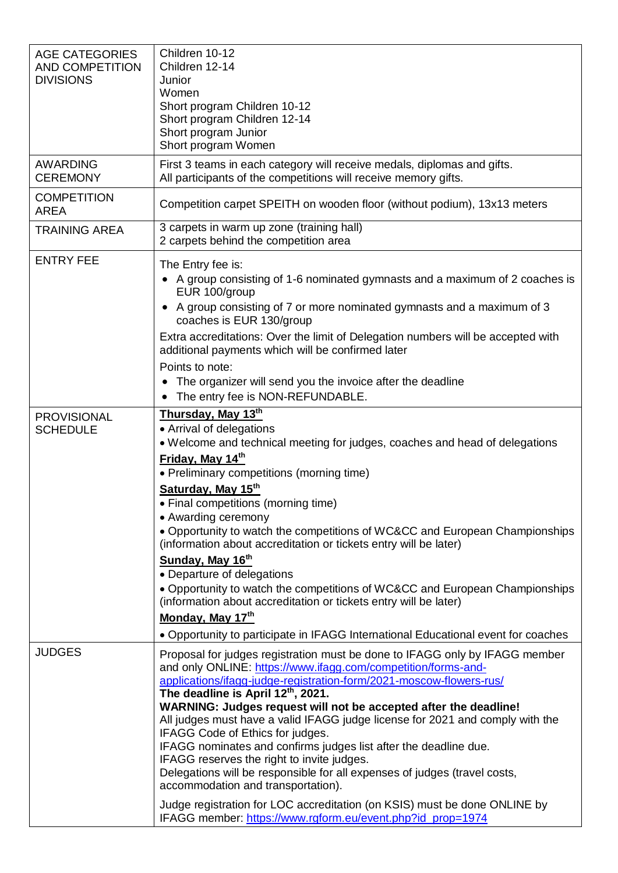| <b>AGE CATEGORIES</b><br><b>AND COMPETITION</b><br><b>DIVISIONS</b> | Children 10-12<br>Children 12-14<br>Junior<br>Women<br>Short program Children 10-12<br>Short program Children 12-14<br>Short program Junior<br>Short program Women                                                                                                                                                                                                                                                                                                                                                                                                                                                                                                                                                                                                                                                                |  |  |
|---------------------------------------------------------------------|-----------------------------------------------------------------------------------------------------------------------------------------------------------------------------------------------------------------------------------------------------------------------------------------------------------------------------------------------------------------------------------------------------------------------------------------------------------------------------------------------------------------------------------------------------------------------------------------------------------------------------------------------------------------------------------------------------------------------------------------------------------------------------------------------------------------------------------|--|--|
| <b>AWARDING</b><br><b>CEREMONY</b>                                  | First 3 teams in each category will receive medals, diplomas and gifts.<br>All participants of the competitions will receive memory gifts.                                                                                                                                                                                                                                                                                                                                                                                                                                                                                                                                                                                                                                                                                        |  |  |
| <b>COMPETITION</b><br><b>AREA</b>                                   | Competition carpet SPEITH on wooden floor (without podium), 13x13 meters                                                                                                                                                                                                                                                                                                                                                                                                                                                                                                                                                                                                                                                                                                                                                          |  |  |
| <b>TRAINING AREA</b>                                                | 3 carpets in warm up zone (training hall)<br>2 carpets behind the competition area                                                                                                                                                                                                                                                                                                                                                                                                                                                                                                                                                                                                                                                                                                                                                |  |  |
| <b>ENTRY FEE</b>                                                    | The Entry fee is:<br>• A group consisting of 1-6 nominated gymnasts and a maximum of 2 coaches is<br>EUR 100/group<br>A group consisting of 7 or more nominated gymnasts and a maximum of 3<br>$\bullet$<br>coaches is EUR 130/group<br>Extra accreditations: Over the limit of Delegation numbers will be accepted with<br>additional payments which will be confirmed later<br>Points to note:<br>The organizer will send you the invoice after the deadline<br>$\bullet$<br>The entry fee is NON-REFUNDABLE.                                                                                                                                                                                                                                                                                                                   |  |  |
| <b>PROVISIONAL</b><br><b>SCHEDULE</b>                               | Thursday, May 13th<br>• Arrival of delegations<br>• Welcome and technical meeting for judges, coaches and head of delegations<br>Friday, May 14th<br>• Preliminary competitions (morning time)<br>Saturday, May 15th<br>• Final competitions (morning time)<br>• Awarding ceremony<br>• Opportunity to watch the competitions of WC&CC and European Championships<br>(information about accreditation or tickets entry will be later)<br>Sunday, May 16th<br>• Departure of delegations<br>. Opportunity to watch the competitions of WC&CC and European Championships<br>(information about accreditation or tickets entry will be later)<br>Monday, May 17th<br>• Opportunity to participate in IFAGG International Educational event for coaches                                                                               |  |  |
| <b>JUDGES</b>                                                       | Proposal for judges registration must be done to IFAGG only by IFAGG member<br>and only ONLINE: https://www.ifagg.com/competition/forms-and-<br>applications/ifagg-judge-registration-form/2021-moscow-flowers-rus/<br>The deadline is April 12th, 2021.<br>WARNING: Judges request will not be accepted after the deadline!<br>All judges must have a valid IFAGG judge license for 2021 and comply with the<br>IFAGG Code of Ethics for judges.<br>IFAGG nominates and confirms judges list after the deadline due.<br>IFAGG reserves the right to invite judges.<br>Delegations will be responsible for all expenses of judges (travel costs,<br>accommodation and transportation).<br>Judge registration for LOC accreditation (on KSIS) must be done ONLINE by<br>IFAGG member: https://www.rgform.eu/event.php?id_prop=1974 |  |  |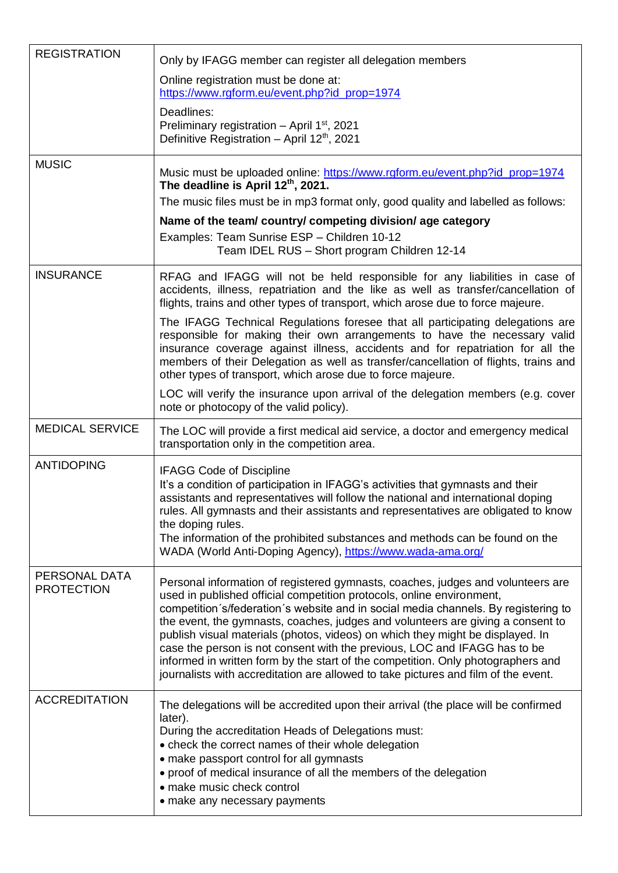| <b>REGISTRATION</b>                | Only by IFAGG member can register all delegation members<br>Online registration must be done at:<br>https://www.rgform.eu/event.php?id_prop=1974<br>Deadlines:<br>Preliminary registration - April 1 <sup>st</sup> , 2021<br>Definitive Registration - April 12 <sup>th</sup> , 2021                                                                                                                                                                                                                                                                                                                                                                                                                                                                                                     |
|------------------------------------|------------------------------------------------------------------------------------------------------------------------------------------------------------------------------------------------------------------------------------------------------------------------------------------------------------------------------------------------------------------------------------------------------------------------------------------------------------------------------------------------------------------------------------------------------------------------------------------------------------------------------------------------------------------------------------------------------------------------------------------------------------------------------------------|
| <b>MUSIC</b>                       | Music must be uploaded online: https://www.rgform.eu/event.php?id_prop=1974<br>The deadline is April 12th, 2021.<br>The music files must be in mp3 format only, good quality and labelled as follows:<br>Name of the team/country/competing division/age category<br>Examples: Team Sunrise ESP - Children 10-12<br>Team IDEL RUS - Short program Children 12-14                                                                                                                                                                                                                                                                                                                                                                                                                         |
| <b>INSURANCE</b>                   | RFAG and IFAGG will not be held responsible for any liabilities in case of<br>accidents, illness, repatriation and the like as well as transfer/cancellation of<br>flights, trains and other types of transport, which arose due to force majeure.<br>The IFAGG Technical Regulations foresee that all participating delegations are<br>responsible for making their own arrangements to have the necessary valid<br>insurance coverage against illness, accidents and for repatriation for all the<br>members of their Delegation as well as transfer/cancellation of flights, trains and<br>other types of transport, which arose due to force majeure.<br>LOC will verify the insurance upon arrival of the delegation members (e.g. cover<br>note or photocopy of the valid policy). |
| <b>MEDICAL SERVICE</b>             | The LOC will provide a first medical aid service, a doctor and emergency medical<br>transportation only in the competition area.                                                                                                                                                                                                                                                                                                                                                                                                                                                                                                                                                                                                                                                         |
| <b>ANTIDOPING</b>                  | <b>IFAGG Code of Discipline</b><br>It's a condition of participation in IFAGG's activities that gymnasts and their<br>assistants and representatives will follow the national and international doping<br>rules. All gymnasts and their assistants and representatives are obligated to know<br>the doping rules.<br>The information of the prohibited substances and methods can be found on the<br>WADA (World Anti-Doping Agency), https://www.wada-ama.org/                                                                                                                                                                                                                                                                                                                          |
| PERSONAL DATA<br><b>PROTECTION</b> | Personal information of registered gymnasts, coaches, judges and volunteers are<br>used in published official competition protocols, online environment,<br>competition s/federation s website and in social media channels. By registering to<br>the event, the gymnasts, coaches, judges and volunteers are giving a consent to<br>publish visual materials (photos, videos) on which they might be displayed. In<br>case the person is not consent with the previous, LOC and IFAGG has to be<br>informed in written form by the start of the competition. Only photographers and<br>journalists with accreditation are allowed to take pictures and film of the event.                                                                                                               |
| <b>ACCREDITATION</b>               | The delegations will be accredited upon their arrival (the place will be confirmed<br>later).<br>During the accreditation Heads of Delegations must:<br>• check the correct names of their whole delegation<br>• make passport control for all gymnasts<br>• proof of medical insurance of all the members of the delegation<br>• make music check control<br>• make any necessary payments                                                                                                                                                                                                                                                                                                                                                                                              |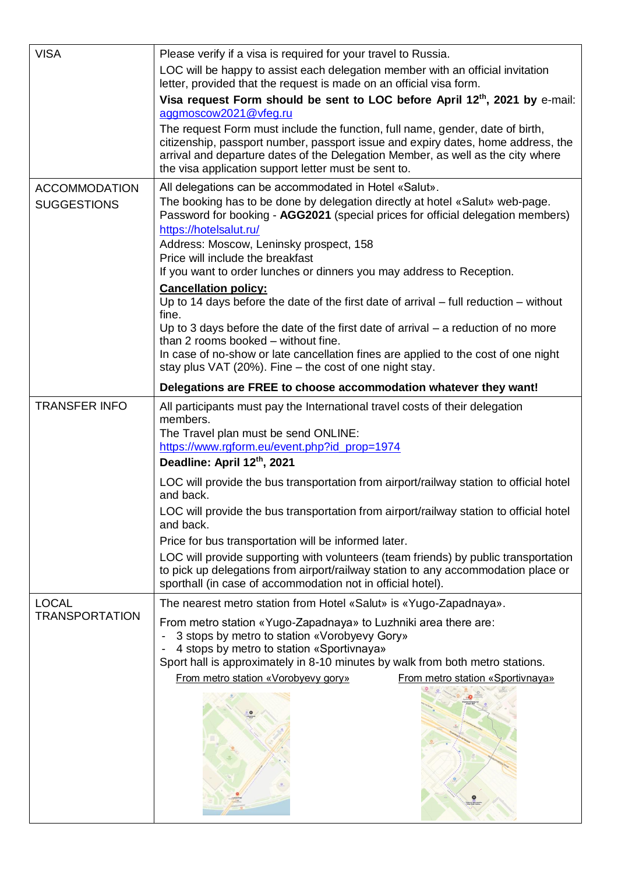| <b>VISA</b>                                | Please verify if a visa is required for your travel to Russia.                                                                                                                                                                                                                                                                                                                                                                                                                                                                         |  |  |  |
|--------------------------------------------|----------------------------------------------------------------------------------------------------------------------------------------------------------------------------------------------------------------------------------------------------------------------------------------------------------------------------------------------------------------------------------------------------------------------------------------------------------------------------------------------------------------------------------------|--|--|--|
|                                            | LOC will be happy to assist each delegation member with an official invitation<br>letter, provided that the request is made on an official visa form.                                                                                                                                                                                                                                                                                                                                                                                  |  |  |  |
|                                            | Visa request Form should be sent to LOC before April 12th, 2021 by e-mail:<br>aggmoscow2021@vfeg.ru                                                                                                                                                                                                                                                                                                                                                                                                                                    |  |  |  |
|                                            | The request Form must include the function, full name, gender, date of birth,<br>citizenship, passport number, passport issue and expiry dates, home address, the<br>arrival and departure dates of the Delegation Member, as well as the city where<br>the visa application support letter must be sent to.                                                                                                                                                                                                                           |  |  |  |
| <b>ACCOMMODATION</b><br><b>SUGGESTIONS</b> | All delegations can be accommodated in Hotel «Salut».<br>The booking has to be done by delegation directly at hotel «Salut» web-page.<br>Password for booking - AGG2021 (special prices for official delegation members)<br>https://hotelsalut.ru/<br>Address: Moscow, Leninsky prospect, 158<br>Price will include the breakfast<br>If you want to order lunches or dinners you may address to Reception.<br><b>Cancellation policy:</b><br>Up to 14 days before the date of the first date of arrival $-$ full reduction $-$ without |  |  |  |
|                                            | fine.<br>Up to 3 days before the date of the first date of arrival $-$ a reduction of no more<br>than 2 rooms booked - without fine.<br>In case of no-show or late cancellation fines are applied to the cost of one night<br>stay plus VAT (20%). Fine – the cost of one night stay.                                                                                                                                                                                                                                                  |  |  |  |
|                                            | Delegations are FREE to choose accommodation whatever they want!                                                                                                                                                                                                                                                                                                                                                                                                                                                                       |  |  |  |
| <b>TRANSFER INFO</b>                       | All participants must pay the International travel costs of their delegation<br>members.<br>The Travel plan must be send ONLINE:<br>https://www.rgform.eu/event.php?id_prop=1974                                                                                                                                                                                                                                                                                                                                                       |  |  |  |
|                                            | Deadline: April 12th, 2021                                                                                                                                                                                                                                                                                                                                                                                                                                                                                                             |  |  |  |
|                                            | LOC will provide the bus transportation from airport/railway station to official hotel<br>and back.<br>LOC will provide the bus transportation from airport/railway station to official hotel<br>and back.                                                                                                                                                                                                                                                                                                                             |  |  |  |
|                                            | Price for bus transportation will be informed later.<br>LOC will provide supporting with volunteers (team friends) by public transportation<br>to pick up delegations from airport/railway station to any accommodation place or<br>sporthall (in case of accommodation not in official hotel).                                                                                                                                                                                                                                        |  |  |  |
| <b>LOCAL</b><br><b>TRANSPORTATION</b>      | The nearest metro station from Hotel «Salut» is «Yugo-Zapadnaya».                                                                                                                                                                                                                                                                                                                                                                                                                                                                      |  |  |  |
|                                            | From metro station «Yugo-Zapadnaya» to Luzhniki area there are:<br>3 stops by metro to station «Vorobyevy Gory»<br>4 stops by metro to station «Sportivnaya»<br>Sport hall is approximately in 8-10 minutes by walk from both metro stations.                                                                                                                                                                                                                                                                                          |  |  |  |
|                                            | From metro station «Vorobyevy gory»<br>From metro station «Sportivnaya»                                                                                                                                                                                                                                                                                                                                                                                                                                                                |  |  |  |